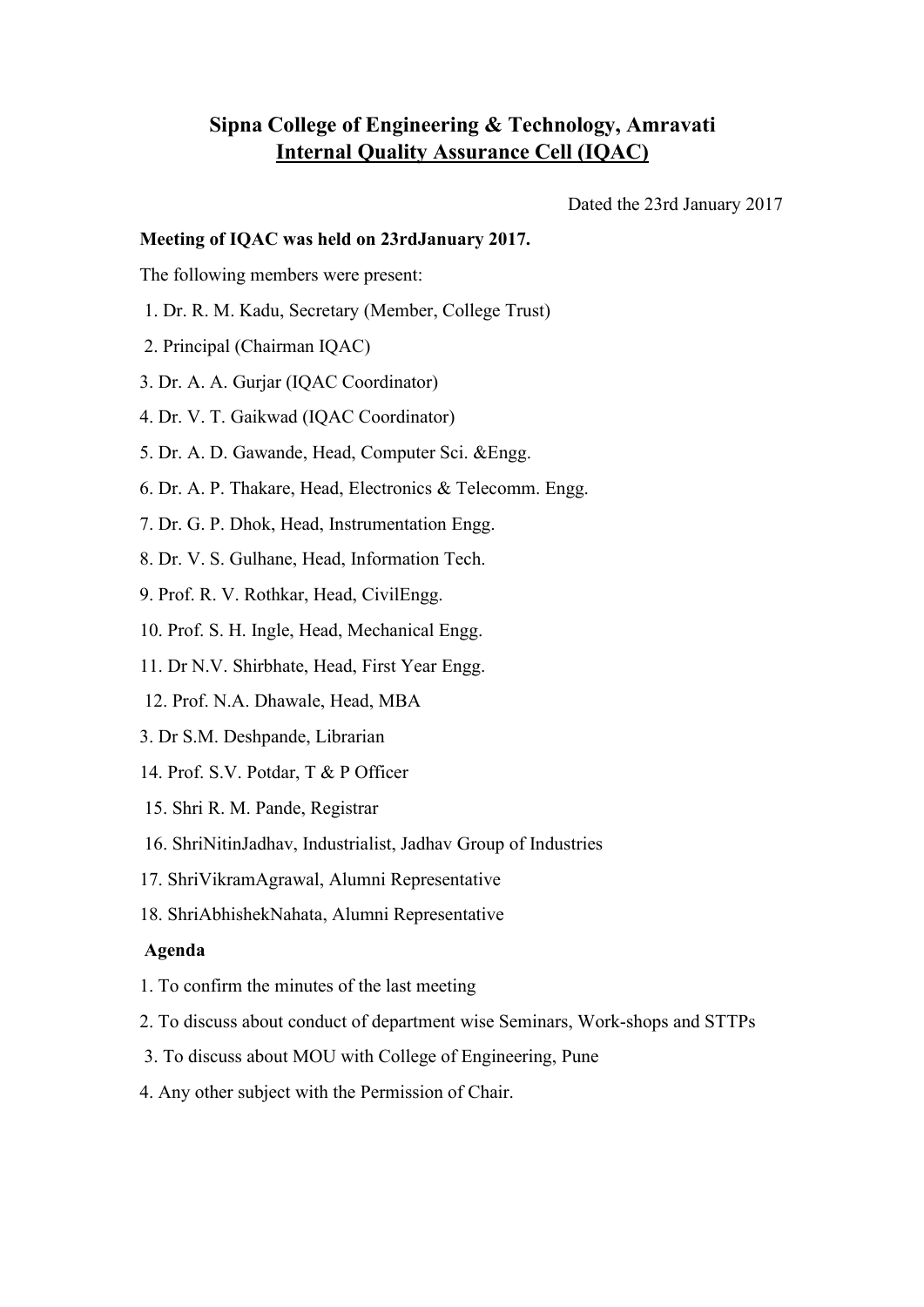## **Sipna College of Engineering & Technology, Amravati Internal Quality Assurance Cell (IQAC)**

Dated the 23rd January 2017

## **Meeting of IQAC was held on 23rdJanuary 2017.**

The following members were present:

- 1. Dr. R. M. Kadu, Secretary (Member, College Trust)
- 2. Principal (Chairman IQAC)
- 3. Dr. A. A. Gurjar (IQAC Coordinator)
- 4. Dr. V. T. Gaikwad (IQAC Coordinator)
- 5. Dr. A. D. Gawande, Head, Computer Sci. &Engg.
- 6. Dr. A. P. Thakare, Head, Electronics & Telecomm. Engg.
- 7. Dr. G. P. Dhok, Head, Instrumentation Engg.
- 8. Dr. V. S. Gulhane, Head, Information Tech.
- 9. Prof. R. V. Rothkar, Head, CivilEngg.
- 10. Prof. S. H. Ingle, Head, Mechanical Engg.
- 11. Dr N.V. Shirbhate, Head, First Year Engg.
- 12. Prof. N.A. Dhawale, Head, MBA
- 3. Dr S.M. Deshpande, Librarian
- 14. Prof. S.V. Potdar, T & P Officer
- 15. Shri R. M. Pande, Registrar
- 16. ShriNitinJadhav, Industrialist, Jadhav Group of Industries
- 17. ShriVikramAgrawal, Alumni Representative
- 18. ShriAbhishekNahata, Alumni Representative

## **Agenda**

- 1. To confirm the minutes of the last meeting
- 2. To discuss about conduct of department wise Seminars, Work-shops and STTPs
- 3. To discuss about MOU with College of Engineering, Pune
- 4. Any other subject with the Permission of Chair.